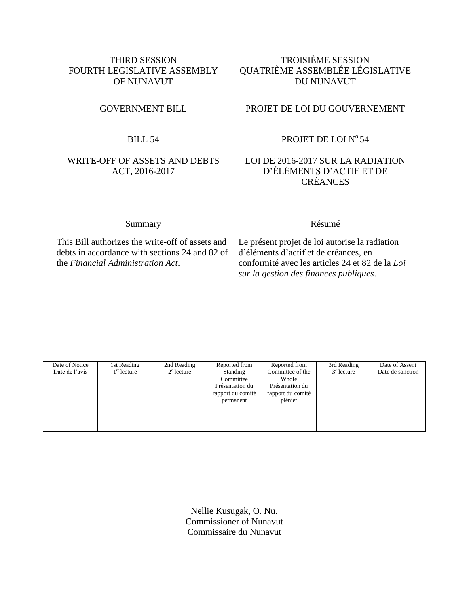## THIRD SESSION FOURTH LEGISLATIVE ASSEMBLY OF NUNAVUT

#### BILL 54

### WRITE-OFF OF ASSETS AND DEBTS ACT, 2016-2017

## TROISIÈME SESSION QUATRIÈME ASSEMBLÉE LÉGISLATIVE DU NUNAVUT

#### GOVERNMENT BILL PROJET DE LOI DU GOUVERNEMENT

## PROJET DE LOI Nº 54

### LOI DE 2016-2017 SUR LA RADIATION D'ÉLÉMENTS D'ACTIF ET DE CRÉANCES

## Summary Résumé

This Bill authorizes the write-off of assets and debts in accordance with sections 24 and 82 of the *Financial Administration Act*.

Le présent projet de loi autorise la radiation d'éléments d'actif et de créances, en conformité avec les articles 24 et 82 de la *Loi sur la gestion des finances publiques*.

| Date of Notice | 1st Reading             | 2nd Reading   | Reported from     | Reported from     | 3rd Reading  | Date of Assent   |
|----------------|-------------------------|---------------|-------------------|-------------------|--------------|------------------|
| Date de l'avis | $1^{\text{re}}$ lecture | $2^e$ lecture | Standing          | Committee of the  | $3e$ lecture | Date de sanction |
|                |                         |               | Committee         | Whole             |              |                  |
|                |                         |               | Présentation du   | Présentation du   |              |                  |
|                |                         |               | rapport du comité | rapport du comité |              |                  |
|                |                         |               | permanent         | plénier           |              |                  |
|                |                         |               |                   |                   |              |                  |
|                |                         |               |                   |                   |              |                  |
|                |                         |               |                   |                   |              |                  |
|                |                         |               |                   |                   |              |                  |

Nellie Kusugak, O. Nu. Commissioner of Nunavut Commissaire du Nunavut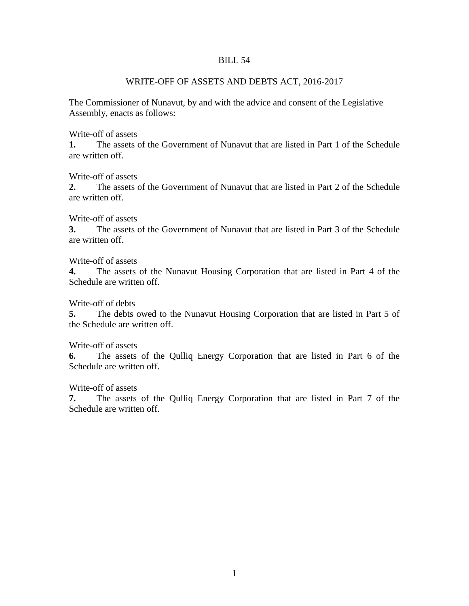#### BILL 54

### WRITE-OFF OF ASSETS AND DEBTS ACT, 2016-2017

The Commissioner of Nunavut, by and with the advice and consent of the Legislative Assembly, enacts as follows:

Write-off of assets

**1.** The assets of the Government of Nunavut that are listed in Part 1 of the Schedule are written off.

Write-off of assets

**2.** The assets of the Government of Nunavut that are listed in Part 2 of the Schedule are written off.

Write-off of assets

**3.** The assets of the Government of Nunavut that are listed in Part 3 of the Schedule are written off.

Write-off of assets

**4.** The assets of the Nunavut Housing Corporation that are listed in Part 4 of the Schedule are written off.

Write-off of debts

**5.** The debts owed to the Nunavut Housing Corporation that are listed in Part 5 of the Schedule are written off.

Write-off of assets

**6.** The assets of the Qulliq Energy Corporation that are listed in Part 6 of the Schedule are written off.

Write-off of assets

**7.** The assets of the Qulliq Energy Corporation that are listed in Part 7 of the Schedule are written off.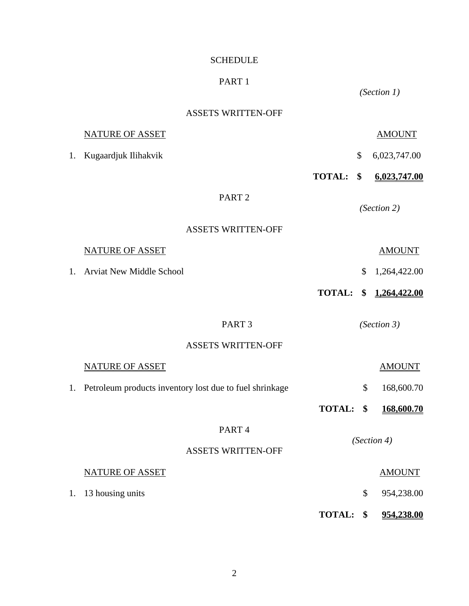# SCHEDULE

# PART 1

# ASSETS WRITTEN-OFF

*(Section 1)*

|    | <b>NATURE OF ASSET</b>                                  |               |    | <b>AMOUNT</b> |
|----|---------------------------------------------------------|---------------|----|---------------|
| 1. | Kugaardjuk Ilihakvik                                    |               | \$ | 6,023,747.00  |
|    |                                                         | <b>TOTAL:</b> | \$ | 6,023,747.00  |
|    | PART <sub>2</sub>                                       |               |    | (Section 2)   |
|    | <b>ASSETS WRITTEN-OFF</b>                               |               |    |               |
|    | <b>NATURE OF ASSET</b>                                  |               |    | <b>AMOUNT</b> |
| 1. | <b>Arviat New Middle School</b>                         |               | \$ | 1,264,422.00  |
|    |                                                         | <b>TOTAL:</b> | \$ | 1,264,422.00  |
|    | PART <sub>3</sub>                                       |               |    | (Section 3)   |
|    | <b>ASSETS WRITTEN-OFF</b>                               |               |    |               |
|    | <b>NATURE OF ASSET</b>                                  |               |    | <b>AMOUNT</b> |
| 1. | Petroleum products inventory lost due to fuel shrinkage |               | \$ | 168,600.70    |
|    |                                                         | <b>TOTAL:</b> | \$ | 168,600.70    |
|    | PART <sub>4</sub>                                       |               |    |               |
|    | <b>ASSETS WRITTEN-OFF</b>                               | (Section 4)   |    |               |
|    | <b>NATURE OF ASSET</b>                                  |               |    | <b>AMOUNT</b> |
| 1. | 13 housing units                                        |               | \$ | 954,238.00    |
|    |                                                         | <b>TOTAL:</b> | \$ | 954,238.00    |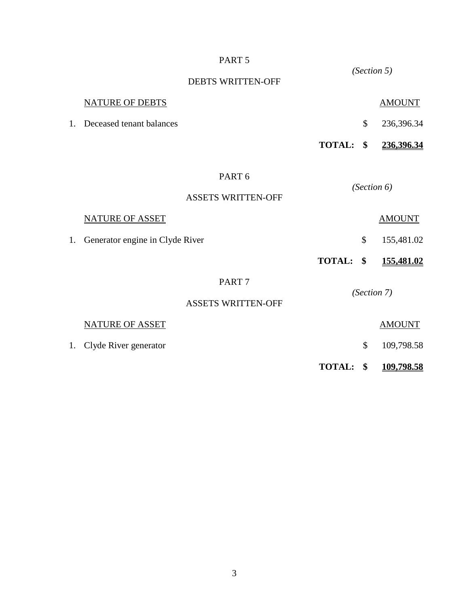#### PART 5

*(Section 5)* DEBTS WRITTEN-OFF NATURE OF DEBTS AMOUNT 1. Deceased tenant balances \$ 236,396.34 **TOTAL: \$ 236,396.34** PART 6 *(Section 6)* ASSETS WRITTEN-OFF NATURE OF ASSET AMOUNT 1. Generator engine in Clyde River  $\qquad$  \$ 155,481.02 **TOTAL: \$ 155,481.02** PART 7 *(Section 7)* ASSETS WRITTEN-OFF NATURE OF ASSET AMOUNT 1. Clyde River generator \$ 109,798.58 **TOTAL: \$ 109,798.58**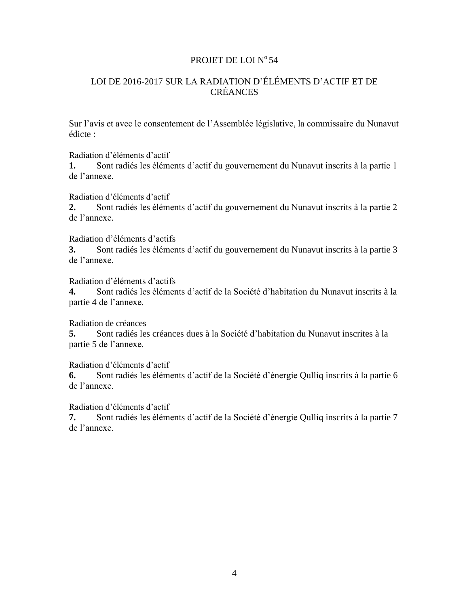### PROJET DE LOI Nº 54

## LOI DE 2016-2017 SUR LA RADIATION D'ÉLÉMENTS D'ACTIF ET DE CRÉANCES

Sur l'avis et avec le consentement de l'Assemblée législative, la commissaire du Nunavut édicte :

Radiation d'éléments d'actif

**1.** Sont radiés les éléments d'actif du gouvernement du Nunavut inscrits à la partie 1 de l'annexe.

Radiation d'éléments d'actif

**2.** Sont radiés les éléments d'actif du gouvernement du Nunavut inscrits à la partie 2 de l'annexe.

Radiation d'éléments d'actifs

**3.** Sont radiés les éléments d'actif du gouvernement du Nunavut inscrits à la partie 3 de l'annexe.

Radiation d'éléments d'actifs

**4.** Sont radiés les éléments d'actif de la Société d'habitation du Nunavut inscrits à la partie 4 de l'annexe.

Radiation de créances

**5.** Sont radiés les créances dues à la Société d'habitation du Nunavut inscrites à la partie 5 de l'annexe.

Radiation d'éléments d'actif

**6.** Sont radiés les éléments d'actif de la Société d'énergie Qulliq inscrits à la partie 6 de l'annexe.

Radiation d'éléments d'actif

**7.** Sont radiés les éléments d'actif de la Société d'énergie Qulliq inscrits à la partie 7 de l'annexe.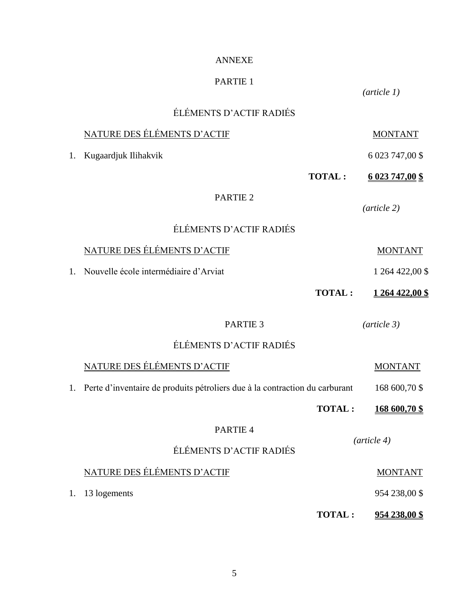## ANNEXE

# PARTIE 1

*(article 1)*

|    | ÉLÉMENTS D'ACTIF RADIÉS                                                     |               |                         |  |
|----|-----------------------------------------------------------------------------|---------------|-------------------------|--|
|    | NATURE DES ÉLÉMENTS D'ACTIF                                                 |               | <b>MONTANT</b>          |  |
| 1. | Kugaardjuk Ilihakvik                                                        |               | 6 023 747,00 \$         |  |
|    |                                                                             | <b>TOTAL:</b> | <u>6 023 747,00 \$</u>  |  |
|    | PARTIE <sub>2</sub>                                                         |               | $(\textit{article } 2)$ |  |
|    | ÉLÉMENTS D'ACTIF RADIÉS                                                     |               |                         |  |
| 1. | NATURE DES ÉLÉMENTS D'ACTIF                                                 |               | <b>MONTANT</b>          |  |
|    | Nouvelle école intermédiaire d'Arviat                                       |               | 1 264 422,00 \$         |  |
|    |                                                                             | <b>TOTAL:</b> | 1 264 422,00 \$         |  |
|    | PARTIE <sub>3</sub>                                                         |               | $(\textit{article } 3)$ |  |
|    | ÉLÉMENTS D'ACTIF RADIÉS                                                     |               |                         |  |
|    | NATURE DES ÉLÉMENTS D'ACTIF                                                 |               | <b>MONTANT</b>          |  |
| 1. | Perte d'inventaire de produits pétroliers due à la contraction du carburant |               | 168 600,70 \$           |  |
|    |                                                                             | <b>TOTAL:</b> | 168 600,70 \$           |  |
|    | PARTIE 4                                                                    |               |                         |  |
|    | ÉLÉMENTS D'ACTIF RADIÉS                                                     |               | $(\textit{article } 4)$ |  |
|    | NATURE DES ÉLÉMENTS D'ACTIF                                                 |               | <b>MONTANT</b>          |  |
| 1. | 13 logements                                                                |               | 954 238,00 \$           |  |
|    |                                                                             | <b>TOTAL:</b> | <u>954 238,00 \$</u>    |  |

5